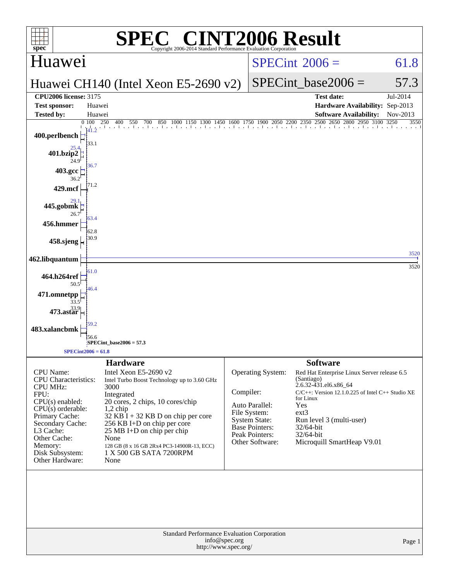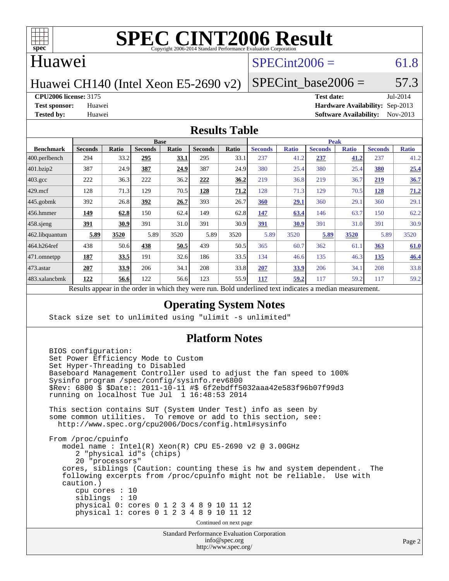

## Huawei

# $SPECint2006 = 61.8$  $SPECint2006 = 61.8$

Huawei CH140 (Intel Xeon E5-2690 v2)

SPECint base2006 =  $57.3$ 

**[CPU2006 license:](http://www.spec.org/auto/cpu2006/Docs/result-fields.html#CPU2006license)** 3175 **[Test date:](http://www.spec.org/auto/cpu2006/Docs/result-fields.html#Testdate)** Jul-2014

**[Test sponsor:](http://www.spec.org/auto/cpu2006/Docs/result-fields.html#Testsponsor)** Huawei **[Hardware Availability:](http://www.spec.org/auto/cpu2006/Docs/result-fields.html#HardwareAvailability)** Sep-2013 **[Tested by:](http://www.spec.org/auto/cpu2006/Docs/result-fields.html#Testedby)** Huawei **[Software Availability:](http://www.spec.org/auto/cpu2006/Docs/result-fields.html#SoftwareAvailability)** Nov-2013

### **[Results Table](http://www.spec.org/auto/cpu2006/Docs/result-fields.html#ResultsTable)**

|                                                                                                           | <b>Base</b>    |       |                |       |                | <b>Peak</b> |                |              |                |              |                |              |
|-----------------------------------------------------------------------------------------------------------|----------------|-------|----------------|-------|----------------|-------------|----------------|--------------|----------------|--------------|----------------|--------------|
| <b>Benchmark</b>                                                                                          | <b>Seconds</b> | Ratio | <b>Seconds</b> | Ratio | <b>Seconds</b> | Ratio       | <b>Seconds</b> | <b>Ratio</b> | <b>Seconds</b> | <b>Ratio</b> | <b>Seconds</b> | <b>Ratio</b> |
| $ 400$ .perlbench                                                                                         | 294            | 33.2  | 295            | 33.1  | 295            | 33.1        | 237            | 41.2         | 237            | 41.2         | 237            | 41.2         |
| 401.bzip2                                                                                                 | 387            | 24.9  | 387            | 24.9  | 387            | 24.9        | 380            | 25.4         | 380            | 25.4         | 380            | 25.4         |
| $403.\text{gcc}$                                                                                          | 222            | 36.3  | 222            | 36.2  | 222            | 36.2        | 219            | 36.8         | 219            | 36.7         | 219            | 36.7         |
| $429$ mcf                                                                                                 | 128            | 71.3  | 129            | 70.5  | 128            | 71.2        | 128            | 71.3         | 129            | 70.5         | <u>128</u>     | 71.2         |
| $445$ .gobmk                                                                                              | 392            | 26.8  | 392            | 26.7  | 393            | 26.7        | 360            | 29.1         | 360            | 29.1         | 360            | 29.1         |
| $ 456$ .hmmer                                                                                             | 149            | 62.8  | 150            | 62.4  | 149            | 62.8        | 147            | 63.4         | 146            | 63.7         | 150            | 62.2         |
| $458$ .sjeng                                                                                              | <u>391</u>     | 30.9  | 391            | 31.0  | 391            | 30.9        | <u>391</u>     | 30.9         | 391            | 31.0         | 391            | 30.9         |
| 462.libquantum                                                                                            | 5.89           | 3520  | 5.89           | 3520  | 5.89           | 3520        | 5.89           | 3520         | 5.89           | 3520         | 5.89           | 3520         |
| 464.h264ref                                                                                               | 438            | 50.6  | 438            | 50.5  | 439            | 50.5        | 365            | 60.7         | 362            | 61.1         | 363            | 61.0         |
| 471.omnetpp                                                                                               | 187            | 33.5  | 191            | 32.6  | 186            | 33.5        | 134            | 46.6         | 135            | 46.3         | 135            | 46.4         |
| $473.$ astar                                                                                              | 207            | 33.9  | 206            | 34.1  | 208            | 33.8        | 207            | 33.9         | 206            | 34.1         | 208            | 33.8         |
| 483.xalancbmk                                                                                             | 122            | 56.6  | 122            | 56.6  | 123            | 55.9        | 117            | 59.2         | 117            | 59.2         | 117            | 59.2         |
| Decute ennoyed in the endor in which they were min<br>Dold underlined text indicates a madian measurement |                |       |                |       |                |             |                |              |                |              |                |              |

Results appear in the [order in which they were run.](http://www.spec.org/auto/cpu2006/Docs/result-fields.html#RunOrder) Bold underlined text [indicates a median measurement.](http://www.spec.org/auto/cpu2006/Docs/result-fields.html#Median)

### **[Operating System Notes](http://www.spec.org/auto/cpu2006/Docs/result-fields.html#OperatingSystemNotes)**

Stack size set to unlimited using "ulimit -s unlimited"

### **[Platform Notes](http://www.spec.org/auto/cpu2006/Docs/result-fields.html#PlatformNotes)**

 BIOS configuration: Set Power Efficiency Mode to Custom Set Hyper-Threading to Disabled Baseboard Management Controller used to adjust the fan speed to 100% Sysinfo program /spec/config/sysinfo.rev6800 \$Rev: 6800 \$ \$Date:: 2011-10-11 #\$ 6f2ebdff5032aaa42e583f96b07f99d3 running on localhost Tue Jul 1 16:48:53 2014 This section contains SUT (System Under Test) info as seen by some common utilities. To remove or add to this section, see: <http://www.spec.org/cpu2006/Docs/config.html#sysinfo> From /proc/cpuinfo model name : Intel(R) Xeon(R) CPU E5-2690 v2 @ 3.00GHz 2 "physical id"s (chips) 20 "processors" cores, siblings (Caution: counting these is hw and system dependent. The following excerpts from /proc/cpuinfo might not be reliable. Use with caution.) cpu cores : 10 siblings : 10 physical 0: cores 0 1 2 3 4 8 9 10 11 12 physical 1: cores 0 1 2 3 4 8 9 10 11 12 Continued on next page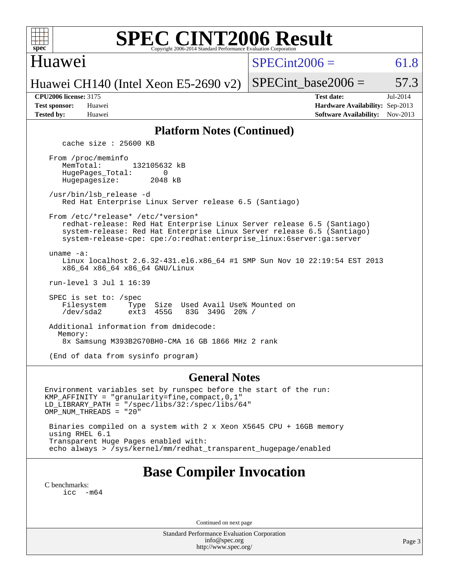

## Huawei

 $SPECint2006 = 61.8$  $SPECint2006 = 61.8$ 

Huawei CH140 (Intel Xeon E5-2690 v2)

SPECint base2006 =  $57.3$ 

| <b>Test sponsor:</b> | Huawei |
|----------------------|--------|
| <b>Tested by:</b>    | Huawei |

**[CPU2006 license:](http://www.spec.org/auto/cpu2006/Docs/result-fields.html#CPU2006license)** 3175 **[Test date:](http://www.spec.org/auto/cpu2006/Docs/result-fields.html#Testdate)** Jul-2014 **[Hardware Availability:](http://www.spec.org/auto/cpu2006/Docs/result-fields.html#HardwareAvailability)** Sep-2013 **[Software Availability:](http://www.spec.org/auto/cpu2006/Docs/result-fields.html#SoftwareAvailability)** Nov-2013

### **[Platform Notes \(Continued\)](http://www.spec.org/auto/cpu2006/Docs/result-fields.html#PlatformNotes)**

cache size : 25600 KB

 From /proc/meminfo MemTotal: 132105632 kB HugePages\_Total: 0<br>Hugepagesize: 2048 kB Hugepagesize:

 /usr/bin/lsb\_release -d Red Hat Enterprise Linux Server release 6.5 (Santiago)

From /etc/\*release\* /etc/\*version\*

 redhat-release: Red Hat Enterprise Linux Server release 6.5 (Santiago) system-release: Red Hat Enterprise Linux Server release 6.5 (Santiago) system-release-cpe: cpe:/o:redhat:enterprise\_linux:6server:ga:server

uname -a:

 Linux localhost 2.6.32-431.el6.x86\_64 #1 SMP Sun Nov 10 22:19:54 EST 2013 x86\_64 x86\_64 x86\_64 GNU/Linux

run-level 3 Jul 1 16:39

SPEC is set to: /spec<br>Filesystem Type Type Size Used Avail Use% Mounted on<br>ext3 455G 83G 349G 20% / /dev/sda2 ext3 455G 83G 349G 20% /

 Additional information from dmidecode: Memory: 8x Samsung M393B2G70BH0-CMA 16 GB 1866 MHz 2 rank

(End of data from sysinfo program)

### **[General Notes](http://www.spec.org/auto/cpu2006/Docs/result-fields.html#GeneralNotes)**

Environment variables set by runspec before the start of the run: KMP\_AFFINITY = "granularity=fine,compact,0,1" LD\_LIBRARY\_PATH = "/spec/libs/32:/spec/libs/64" OMP\_NUM\_THREADS = "20" Binaries compiled on a system with 2 x Xeon X5645 CPU + 16GB memory

 using RHEL 6.1 Transparent Huge Pages enabled with: echo always > /sys/kernel/mm/redhat\_transparent\_hugepage/enabled

# **[Base Compiler Invocation](http://www.spec.org/auto/cpu2006/Docs/result-fields.html#BaseCompilerInvocation)**

[C benchmarks](http://www.spec.org/auto/cpu2006/Docs/result-fields.html#Cbenchmarks): [icc -m64](http://www.spec.org/cpu2006/results/res2014q3/cpu2006-20140818-30950.flags.html#user_CCbase_intel_icc_64bit_f346026e86af2a669e726fe758c88044)

Continued on next page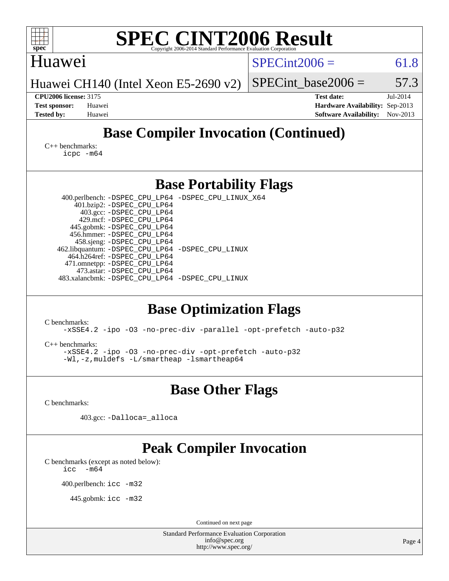| $spec^{\circ}$                                                                                           |                                                                                                                                                                                                                                                                            | <b>SPEC CINT2006 Result</b><br>Copyright 2006-2014 Standard Performance Evaluation Corporation                                                               |                      |                                                                                       |                      |
|----------------------------------------------------------------------------------------------------------|----------------------------------------------------------------------------------------------------------------------------------------------------------------------------------------------------------------------------------------------------------------------------|--------------------------------------------------------------------------------------------------------------------------------------------------------------|----------------------|---------------------------------------------------------------------------------------|----------------------|
| Huawei                                                                                                   |                                                                                                                                                                                                                                                                            |                                                                                                                                                              | $SPECint2006 =$      |                                                                                       | 61.8                 |
| Huawei CH140 (Intel Xeon E5-2690 v2)                                                                     |                                                                                                                                                                                                                                                                            |                                                                                                                                                              | SPECint base2006 $=$ |                                                                                       | 57.3                 |
| <b>CPU2006 license: 3175</b><br><b>Test sponsor:</b><br>Huawei<br><b>Tested by:</b><br>Huawei            |                                                                                                                                                                                                                                                                            |                                                                                                                                                              |                      | <b>Test date:</b><br>Hardware Availability: Sep-2013<br><b>Software Availability:</b> | Jul-2014<br>Nov-2013 |
|                                                                                                          |                                                                                                                                                                                                                                                                            | <b>Base Compiler Invocation (Continued)</b>                                                                                                                  |                      |                                                                                       |                      |
| $C_{++}$ benchmarks:<br>$icpc$ $-m64$                                                                    |                                                                                                                                                                                                                                                                            |                                                                                                                                                              |                      |                                                                                       |                      |
|                                                                                                          |                                                                                                                                                                                                                                                                            | <b>Base Portability Flags</b>                                                                                                                                |                      |                                                                                       |                      |
|                                                                                                          | 401.bzip2: -DSPEC_CPU_LP64<br>403.gcc: -DSPEC_CPU_LP64<br>429.mcf: -DSPEC CPU LP64<br>445.gobmk: -DSPEC_CPU_LP64<br>456.hmmer: -DSPEC_CPU_LP64<br>458.sjeng: -DSPEC_CPU_LP64<br>464.h264ref: -DSPEC_CPU_LP64<br>471.omnetpp: -DSPEC_CPU_LP64<br>473.astar: -DSPEC_CPU_LP64 | 400.perlbench: -DSPEC_CPU_LP64 -DSPEC_CPU_LINUX_X64<br>462.libquantum: -DSPEC_CPU_LP64 -DSPEC_CPU_LINUX<br>483.xalancbmk: -DSPEC_CPU_LP64 -DSPEC_CPU_LINUX   |                      |                                                                                       |                      |
| C benchmarks:<br>$C_{++}$ benchmarks:                                                                    | -Wl,-z,muldefs -L/smartheap -lsmartheap64                                                                                                                                                                                                                                  | <b>Base Optimization Flags</b><br>-xSSE4.2 -ipo -03 -no-prec-div -parallel -opt-prefetch -auto-p32<br>-xSSE4.2 -ipo -03 -no-prec-div -opt-prefetch -auto-p32 |                      |                                                                                       |                      |
|                                                                                                          |                                                                                                                                                                                                                                                                            | <b>Base Other Flags</b>                                                                                                                                      |                      |                                                                                       |                      |
| C benchmarks:                                                                                            |                                                                                                                                                                                                                                                                            |                                                                                                                                                              |                      |                                                                                       |                      |
|                                                                                                          | 403.gcc: -Dalloca=_alloca                                                                                                                                                                                                                                                  |                                                                                                                                                              |                      |                                                                                       |                      |
| C benchmarks (except as noted below):<br>$-m64$<br>icc<br>400.perlbench: icc -m32<br>445.gobmk: icc -m32 |                                                                                                                                                                                                                                                                            | <b>Peak Compiler Invocation</b>                                                                                                                              |                      |                                                                                       |                      |
|                                                                                                          |                                                                                                                                                                                                                                                                            | Continued on next page<br>Standard Performance Evaluation Corporation                                                                                        |                      |                                                                                       |                      |
|                                                                                                          |                                                                                                                                                                                                                                                                            | info@spec.org<br>http://www.spec.org/                                                                                                                        |                      |                                                                                       | Page 4               |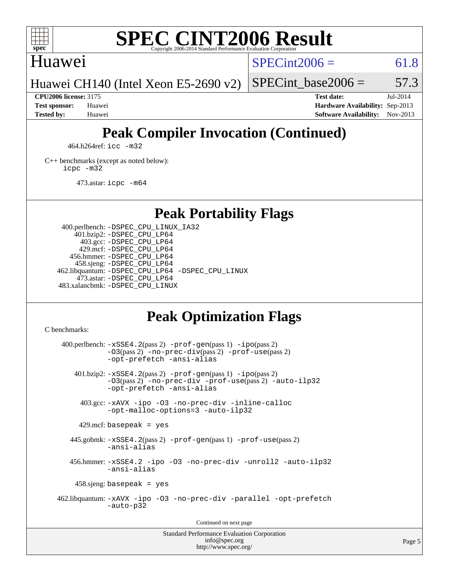

# Huawei

 $SPECint2006 = 61.8$  $SPECint2006 = 61.8$ 

Huawei CH140 (Intel Xeon E5-2690 v2)

SPECint base2006 =  $57.3$ 

**[CPU2006 license:](http://www.spec.org/auto/cpu2006/Docs/result-fields.html#CPU2006license)** 3175 **[Test date:](http://www.spec.org/auto/cpu2006/Docs/result-fields.html#Testdate)** Jul-2014 **[Test sponsor:](http://www.spec.org/auto/cpu2006/Docs/result-fields.html#Testsponsor)** Huawei **[Hardware Availability:](http://www.spec.org/auto/cpu2006/Docs/result-fields.html#HardwareAvailability)** Sep-2013 **[Tested by:](http://www.spec.org/auto/cpu2006/Docs/result-fields.html#Testedby)** Huawei **[Software Availability:](http://www.spec.org/auto/cpu2006/Docs/result-fields.html#SoftwareAvailability)** Nov-2013

# **[Peak Compiler Invocation \(Continued\)](http://www.spec.org/auto/cpu2006/Docs/result-fields.html#PeakCompilerInvocation)**

464.h264ref: [icc -m32](http://www.spec.org/cpu2006/results/res2014q3/cpu2006-20140818-30950.flags.html#user_peakCCLD464_h264ref_intel_icc_a6a621f8d50482236b970c6ac5f55f93)

[C++ benchmarks \(except as noted below\):](http://www.spec.org/auto/cpu2006/Docs/result-fields.html#CXXbenchmarksexceptasnotedbelow) [icpc -m32](http://www.spec.org/cpu2006/results/res2014q3/cpu2006-20140818-30950.flags.html#user_CXXpeak_intel_icpc_4e5a5ef1a53fd332b3c49e69c3330699)

473.astar: [icpc -m64](http://www.spec.org/cpu2006/results/res2014q3/cpu2006-20140818-30950.flags.html#user_peakCXXLD473_astar_intel_icpc_64bit_fc66a5337ce925472a5c54ad6a0de310)

# **[Peak Portability Flags](http://www.spec.org/auto/cpu2006/Docs/result-fields.html#PeakPortabilityFlags)**

 400.perlbench: [-DSPEC\\_CPU\\_LINUX\\_IA32](http://www.spec.org/cpu2006/results/res2014q3/cpu2006-20140818-30950.flags.html#b400.perlbench_peakCPORTABILITY_DSPEC_CPU_LINUX_IA32) 401.bzip2: [-DSPEC\\_CPU\\_LP64](http://www.spec.org/cpu2006/results/res2014q3/cpu2006-20140818-30950.flags.html#suite_peakPORTABILITY401_bzip2_DSPEC_CPU_LP64) 403.gcc: [-DSPEC\\_CPU\\_LP64](http://www.spec.org/cpu2006/results/res2014q3/cpu2006-20140818-30950.flags.html#suite_peakPORTABILITY403_gcc_DSPEC_CPU_LP64) 429.mcf: [-DSPEC\\_CPU\\_LP64](http://www.spec.org/cpu2006/results/res2014q3/cpu2006-20140818-30950.flags.html#suite_peakPORTABILITY429_mcf_DSPEC_CPU_LP64) 456.hmmer: [-DSPEC\\_CPU\\_LP64](http://www.spec.org/cpu2006/results/res2014q3/cpu2006-20140818-30950.flags.html#suite_peakPORTABILITY456_hmmer_DSPEC_CPU_LP64) 458.sjeng: [-DSPEC\\_CPU\\_LP64](http://www.spec.org/cpu2006/results/res2014q3/cpu2006-20140818-30950.flags.html#suite_peakPORTABILITY458_sjeng_DSPEC_CPU_LP64) 462.libquantum: [-DSPEC\\_CPU\\_LP64](http://www.spec.org/cpu2006/results/res2014q3/cpu2006-20140818-30950.flags.html#suite_peakPORTABILITY462_libquantum_DSPEC_CPU_LP64) [-DSPEC\\_CPU\\_LINUX](http://www.spec.org/cpu2006/results/res2014q3/cpu2006-20140818-30950.flags.html#b462.libquantum_peakCPORTABILITY_DSPEC_CPU_LINUX) 473.astar: [-DSPEC\\_CPU\\_LP64](http://www.spec.org/cpu2006/results/res2014q3/cpu2006-20140818-30950.flags.html#suite_peakPORTABILITY473_astar_DSPEC_CPU_LP64) 483.xalancbmk: [-DSPEC\\_CPU\\_LINUX](http://www.spec.org/cpu2006/results/res2014q3/cpu2006-20140818-30950.flags.html#b483.xalancbmk_peakCXXPORTABILITY_DSPEC_CPU_LINUX)

# **[Peak Optimization Flags](http://www.spec.org/auto/cpu2006/Docs/result-fields.html#PeakOptimizationFlags)**

[C benchmarks](http://www.spec.org/auto/cpu2006/Docs/result-fields.html#Cbenchmarks):

 $400.$ perlbench:  $-xSSE4$ .  $2(pass 2)$  -prof-qen(pass 1) [-ipo](http://www.spec.org/cpu2006/results/res2014q3/cpu2006-20140818-30950.flags.html#user_peakPASS2_CFLAGSPASS2_LDCFLAGS400_perlbench_f-ipo)(pass 2) [-O3](http://www.spec.org/cpu2006/results/res2014q3/cpu2006-20140818-30950.flags.html#user_peakPASS2_CFLAGSPASS2_LDCFLAGS400_perlbench_f-O3)(pass 2) [-no-prec-div](http://www.spec.org/cpu2006/results/res2014q3/cpu2006-20140818-30950.flags.html#user_peakPASS2_CFLAGSPASS2_LDCFLAGS400_perlbench_f-no-prec-div)(pass 2) [-prof-use](http://www.spec.org/cpu2006/results/res2014q3/cpu2006-20140818-30950.flags.html#user_peakPASS2_CFLAGSPASS2_LDCFLAGS400_perlbench_prof_use_bccf7792157ff70d64e32fe3e1250b55)(pass 2) [-opt-prefetch](http://www.spec.org/cpu2006/results/res2014q3/cpu2006-20140818-30950.flags.html#user_peakCOPTIMIZE400_perlbench_f-opt-prefetch) [-ansi-alias](http://www.spec.org/cpu2006/results/res2014q3/cpu2006-20140818-30950.flags.html#user_peakCOPTIMIZE400_perlbench_f-ansi-alias) 401.bzip2: [-xSSE4.2](http://www.spec.org/cpu2006/results/res2014q3/cpu2006-20140818-30950.flags.html#user_peakPASS2_CFLAGSPASS2_LDCFLAGS401_bzip2_f-xSSE42_f91528193cf0b216347adb8b939d4107)(pass 2) [-prof-gen](http://www.spec.org/cpu2006/results/res2014q3/cpu2006-20140818-30950.flags.html#user_peakPASS1_CFLAGSPASS1_LDCFLAGS401_bzip2_prof_gen_e43856698f6ca7b7e442dfd80e94a8fc)(pass 1) [-ipo](http://www.spec.org/cpu2006/results/res2014q3/cpu2006-20140818-30950.flags.html#user_peakPASS2_CFLAGSPASS2_LDCFLAGS401_bzip2_f-ipo)(pass 2) [-O3](http://www.spec.org/cpu2006/results/res2014q3/cpu2006-20140818-30950.flags.html#user_peakPASS2_CFLAGSPASS2_LDCFLAGS401_bzip2_f-O3)(pass 2) [-no-prec-div](http://www.spec.org/cpu2006/results/res2014q3/cpu2006-20140818-30950.flags.html#user_peakCOPTIMIZEPASS2_CFLAGSPASS2_LDCFLAGS401_bzip2_f-no-prec-div) [-prof-use](http://www.spec.org/cpu2006/results/res2014q3/cpu2006-20140818-30950.flags.html#user_peakPASS2_CFLAGSPASS2_LDCFLAGS401_bzip2_prof_use_bccf7792157ff70d64e32fe3e1250b55)(pass 2) [-auto-ilp32](http://www.spec.org/cpu2006/results/res2014q3/cpu2006-20140818-30950.flags.html#user_peakCOPTIMIZE401_bzip2_f-auto-ilp32) [-opt-prefetch](http://www.spec.org/cpu2006/results/res2014q3/cpu2006-20140818-30950.flags.html#user_peakCOPTIMIZE401_bzip2_f-opt-prefetch) [-ansi-alias](http://www.spec.org/cpu2006/results/res2014q3/cpu2006-20140818-30950.flags.html#user_peakCOPTIMIZE401_bzip2_f-ansi-alias) 403.gcc: [-xAVX](http://www.spec.org/cpu2006/results/res2014q3/cpu2006-20140818-30950.flags.html#user_peakCOPTIMIZE403_gcc_f-xAVX) [-ipo](http://www.spec.org/cpu2006/results/res2014q3/cpu2006-20140818-30950.flags.html#user_peakCOPTIMIZE403_gcc_f-ipo) [-O3](http://www.spec.org/cpu2006/results/res2014q3/cpu2006-20140818-30950.flags.html#user_peakCOPTIMIZE403_gcc_f-O3) [-no-prec-div](http://www.spec.org/cpu2006/results/res2014q3/cpu2006-20140818-30950.flags.html#user_peakCOPTIMIZE403_gcc_f-no-prec-div) [-inline-calloc](http://www.spec.org/cpu2006/results/res2014q3/cpu2006-20140818-30950.flags.html#user_peakCOPTIMIZE403_gcc_f-inline-calloc) [-opt-malloc-options=3](http://www.spec.org/cpu2006/results/res2014q3/cpu2006-20140818-30950.flags.html#user_peakCOPTIMIZE403_gcc_f-opt-malloc-options_13ab9b803cf986b4ee62f0a5998c2238) [-auto-ilp32](http://www.spec.org/cpu2006/results/res2014q3/cpu2006-20140818-30950.flags.html#user_peakCOPTIMIZE403_gcc_f-auto-ilp32)  $429$ .mcf: basepeak = yes 445.gobmk: [-xSSE4.2](http://www.spec.org/cpu2006/results/res2014q3/cpu2006-20140818-30950.flags.html#user_peakPASS2_CFLAGSPASS2_LDCFLAGS445_gobmk_f-xSSE42_f91528193cf0b216347adb8b939d4107)(pass 2) [-prof-gen](http://www.spec.org/cpu2006/results/res2014q3/cpu2006-20140818-30950.flags.html#user_peakPASS1_CFLAGSPASS1_LDCFLAGS445_gobmk_prof_gen_e43856698f6ca7b7e442dfd80e94a8fc)(pass 1) [-prof-use](http://www.spec.org/cpu2006/results/res2014q3/cpu2006-20140818-30950.flags.html#user_peakPASS2_CFLAGSPASS2_LDCFLAGS445_gobmk_prof_use_bccf7792157ff70d64e32fe3e1250b55)(pass 2) [-ansi-alias](http://www.spec.org/cpu2006/results/res2014q3/cpu2006-20140818-30950.flags.html#user_peakCOPTIMIZE445_gobmk_f-ansi-alias) 456.hmmer: [-xSSE4.2](http://www.spec.org/cpu2006/results/res2014q3/cpu2006-20140818-30950.flags.html#user_peakCOPTIMIZE456_hmmer_f-xSSE42_f91528193cf0b216347adb8b939d4107) [-ipo](http://www.spec.org/cpu2006/results/res2014q3/cpu2006-20140818-30950.flags.html#user_peakCOPTIMIZE456_hmmer_f-ipo) [-O3](http://www.spec.org/cpu2006/results/res2014q3/cpu2006-20140818-30950.flags.html#user_peakCOPTIMIZE456_hmmer_f-O3) [-no-prec-div](http://www.spec.org/cpu2006/results/res2014q3/cpu2006-20140818-30950.flags.html#user_peakCOPTIMIZE456_hmmer_f-no-prec-div) [-unroll2](http://www.spec.org/cpu2006/results/res2014q3/cpu2006-20140818-30950.flags.html#user_peakCOPTIMIZE456_hmmer_f-unroll_784dae83bebfb236979b41d2422d7ec2) [-auto-ilp32](http://www.spec.org/cpu2006/results/res2014q3/cpu2006-20140818-30950.flags.html#user_peakCOPTIMIZE456_hmmer_f-auto-ilp32) [-ansi-alias](http://www.spec.org/cpu2006/results/res2014q3/cpu2006-20140818-30950.flags.html#user_peakCOPTIMIZE456_hmmer_f-ansi-alias) 458.sjeng: basepeak = yes 462.libquantum: [-xAVX](http://www.spec.org/cpu2006/results/res2014q3/cpu2006-20140818-30950.flags.html#user_peakCOPTIMIZE462_libquantum_f-xAVX) [-ipo](http://www.spec.org/cpu2006/results/res2014q3/cpu2006-20140818-30950.flags.html#user_peakCOPTIMIZE462_libquantum_f-ipo) [-O3](http://www.spec.org/cpu2006/results/res2014q3/cpu2006-20140818-30950.flags.html#user_peakCOPTIMIZE462_libquantum_f-O3) [-no-prec-div](http://www.spec.org/cpu2006/results/res2014q3/cpu2006-20140818-30950.flags.html#user_peakCOPTIMIZE462_libquantum_f-no-prec-div) [-parallel](http://www.spec.org/cpu2006/results/res2014q3/cpu2006-20140818-30950.flags.html#user_peakCOPTIMIZE462_libquantum_f-parallel) [-opt-prefetch](http://www.spec.org/cpu2006/results/res2014q3/cpu2006-20140818-30950.flags.html#user_peakCOPTIMIZE462_libquantum_f-opt-prefetch) [-auto-p32](http://www.spec.org/cpu2006/results/res2014q3/cpu2006-20140818-30950.flags.html#user_peakCOPTIMIZE462_libquantum_f-auto-p32) Continued on next page